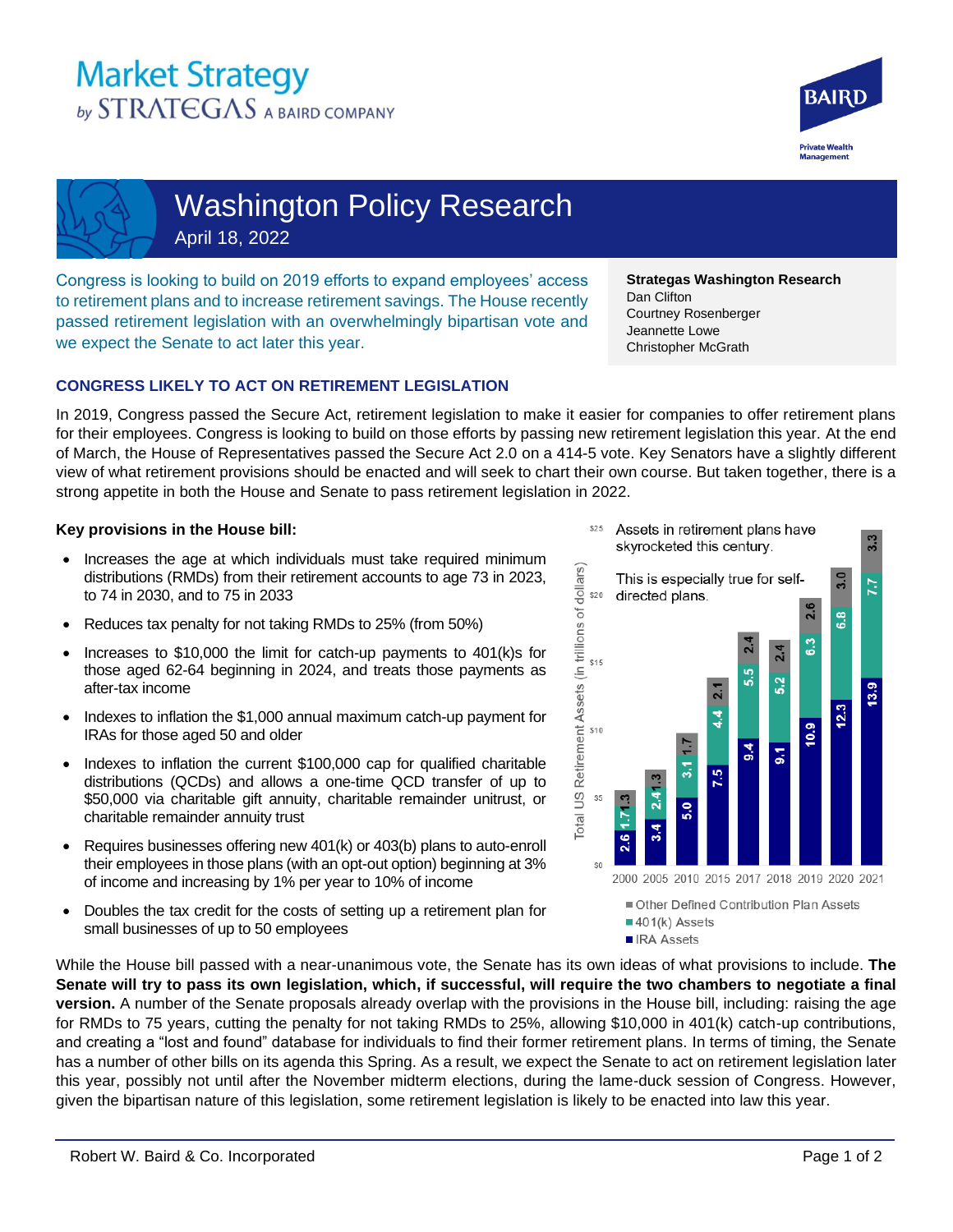# **Market Strategy** by STRATEGAS A BAIRD COMPANY





Washington Policy Research April 18, 2022

Congress is looking to build on 2019 efforts to expand employees' access to retirement plans and to increase retirement savings. The House recently passed retirement legislation with an overwhelmingly bipartisan vote and we expect the Senate to act later this year.

**Strategas Washington Research**  Dan Clifton Courtney Rosenberger Jeannette Lowe Christopher McGrath

## **CONGRESS LIKELY TO ACT ON RETIREMENT LEGISLATION**

In 2019, Congress passed the Secure Act, retirement legislation to make it easier for companies to offer retirement plans for their employees. Congress is looking to build on those efforts by passing new retirement legislation this year. At the end of March, the House of Representatives passed the Secure Act 2.0 on a 414-5 vote. Key Senators have a slightly different view of what retirement provisions should be enacted and will seek to chart their own course. But taken together, there is a strong appetite in both the House and Senate to pass retirement legislation in 2022.

### **Key provisions in the House bill:**

- Increases the age at which individuals must take required minimum distributions (RMDs) from their retirement accounts to age 73 in 2023, to 74 in 2030, and to 75 in 2033
- Reduces tax penalty for not taking RMDs to 25% (from 50%)
- Increases to \$10,000 the limit for catch-up payments to 401(k)s for those aged 62-64 beginning in 2024, and treats those payments as after-tax income
- Indexes to inflation the \$1,000 annual maximum catch-up payment for IRAs for those aged 50 and older
- Indexes to inflation the current \$100,000 cap for qualified charitable distributions (QCDs) and allows a one-time QCD transfer of up to \$50,000 via charitable gift annuity, charitable remainder unitrust, or charitable remainder annuity trust
- Requires businesses offering new 401(k) or 403(b) plans to auto-enroll their employees in those plans (with an opt-out option) beginning at 3% of income and increasing by 1% per year to 10% of income
- Doubles the tax credit for the costs of setting up a retirement plan for small businesses of up to 50 employees



While the House bill passed with a near-unanimous vote, the Senate has its own ideas of what provisions to include. **The Senate will try to pass its own legislation, which, if successful, will require the two chambers to negotiate a final version.** A number of the Senate proposals already overlap with the provisions in the House bill, including: raising the age for RMDs to 75 years, cutting the penalty for not taking RMDs to 25%, allowing \$10,000 in 401(k) catch-up contributions, and creating a "lost and found" database for individuals to find their former retirement plans. In terms of timing, the Senate has a number of other bills on its agenda this Spring. As a result, we expect the Senate to act on retirement legislation later this year, possibly not until after the November midterm elections, during the lame-duck session of Congress. However, given the bipartisan nature of this legislation, some retirement legislation is likely to be enacted into law this year.